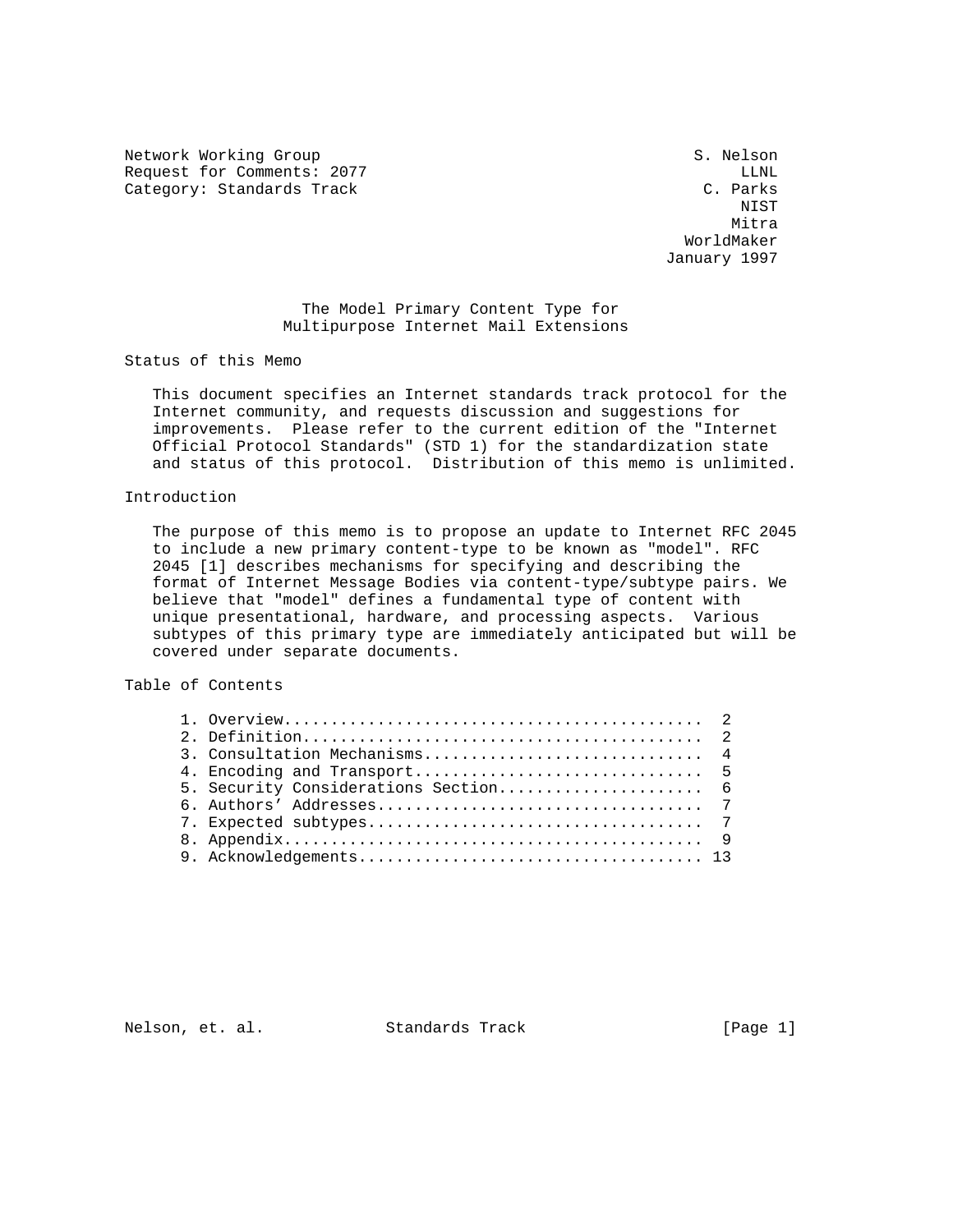Network Working Group S. Nelson Request for Comments: 2077 LLNL Category: Standards Track

NIST WE GET A RESIDENCE OF A RESIDENCE OF A RESIDENCE OF A RESIDENCE OF A RESIDENCE OF A RESIDENCE OF A RESIDENCE OF A RESIDENCE OF A RESIDENCE OF A RESIDENCE OF A RESIDENCE OF A RESIDENCE OF A RESIDENCE OF A RESIDENCE OF Mitra Museum and Mitra Mitra March 2014, and Mitra Mitra March 2014, and Mitra March 2014, and Mitra WorldMaker January 1997

# The Model Primary Content Type for Multipurpose Internet Mail Extensions

Status of this Memo

 This document specifies an Internet standards track protocol for the Internet community, and requests discussion and suggestions for improvements. Please refer to the current edition of the "Internet Official Protocol Standards" (STD 1) for the standardization state and status of this protocol. Distribution of this memo is unlimited.

## Introduction

 The purpose of this memo is to propose an update to Internet RFC 2045 to include a new primary content-type to be known as "model". RFC 2045 [1] describes mechanisms for specifying and describing the format of Internet Message Bodies via content-type/subtype pairs. We believe that "model" defines a fundamental type of content with unique presentational, hardware, and processing aspects. Various subtypes of this primary type are immediately anticipated but will be covered under separate documents.

## Table of Contents

Nelson, et. al. Standards Track [Page 1]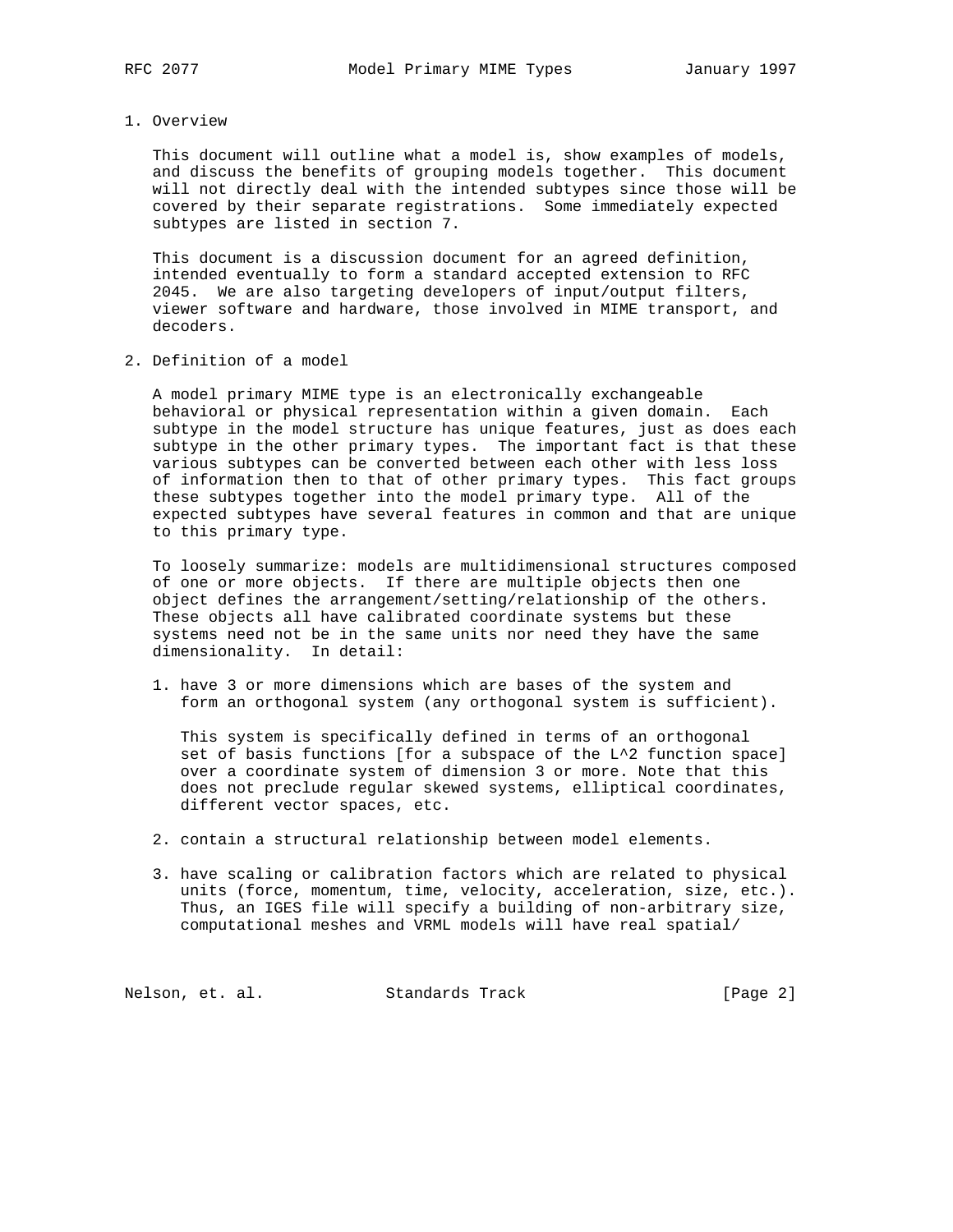#### 1. Overview

 This document will outline what a model is, show examples of models, and discuss the benefits of grouping models together. This document will not directly deal with the intended subtypes since those will be covered by their separate registrations. Some immediately expected subtypes are listed in section 7.

 This document is a discussion document for an agreed definition, intended eventually to form a standard accepted extension to RFC 2045. We are also targeting developers of input/output filters, viewer software and hardware, those involved in MIME transport, and decoders.

2. Definition of a model

 A model primary MIME type is an electronically exchangeable behavioral or physical representation within a given domain. Each subtype in the model structure has unique features, just as does each subtype in the other primary types. The important fact is that these various subtypes can be converted between each other with less loss of information then to that of other primary types. This fact groups these subtypes together into the model primary type. All of the expected subtypes have several features in common and that are unique to this primary type.

 To loosely summarize: models are multidimensional structures composed of one or more objects. If there are multiple objects then one object defines the arrangement/setting/relationship of the others. These objects all have calibrated coordinate systems but these systems need not be in the same units nor need they have the same dimensionality. In detail:

 1. have 3 or more dimensions which are bases of the system and form an orthogonal system (any orthogonal system is sufficient).

 This system is specifically defined in terms of an orthogonal set of basis functions [for a subspace of the L^2 function space] over a coordinate system of dimension 3 or more. Note that this does not preclude regular skewed systems, elliptical coordinates, different vector spaces, etc.

- 2. contain a structural relationship between model elements.
- 3. have scaling or calibration factors which are related to physical units (force, momentum, time, velocity, acceleration, size, etc.). Thus, an IGES file will specify a building of non-arbitrary size, computational meshes and VRML models will have real spatial/

Nelson, et. al. Standards Track [Page 2]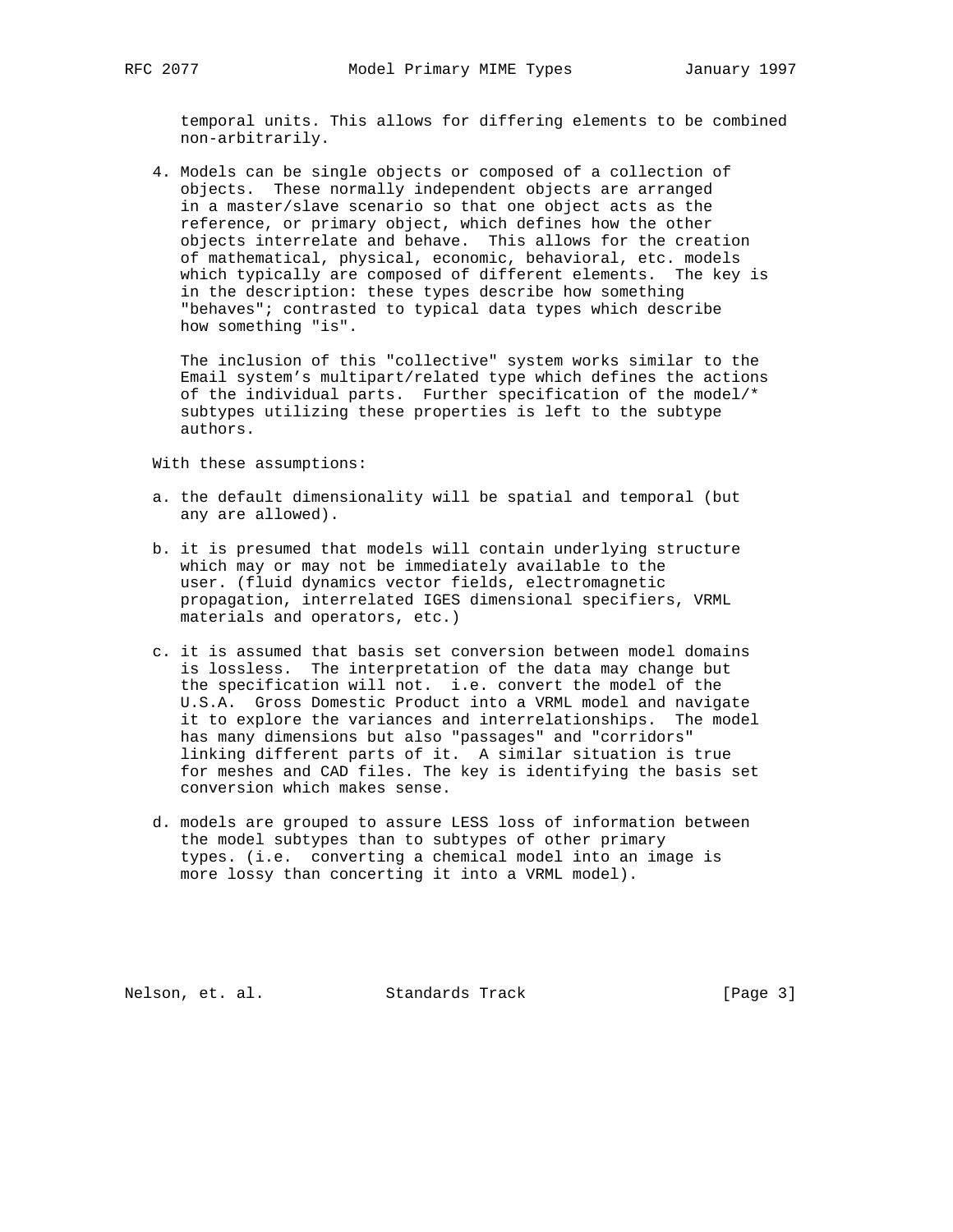temporal units. This allows for differing elements to be combined non-arbitrarily.

 4. Models can be single objects or composed of a collection of objects. These normally independent objects are arranged in a master/slave scenario so that one object acts as the reference, or primary object, which defines how the other objects interrelate and behave. This allows for the creation of mathematical, physical, economic, behavioral, etc. models which typically are composed of different elements. The key is in the description: these types describe how something "behaves"; contrasted to typical data types which describe how something "is".

 The inclusion of this "collective" system works similar to the Email system's multipart/related type which defines the actions of the individual parts. Further specification of the model/\* subtypes utilizing these properties is left to the subtype authors.

With these assumptions:

- a. the default dimensionality will be spatial and temporal (but any are allowed).
- b. it is presumed that models will contain underlying structure which may or may not be immediately available to the user. (fluid dynamics vector fields, electromagnetic propagation, interrelated IGES dimensional specifiers, VRML materials and operators, etc.)
- c. it is assumed that basis set conversion between model domains is lossless. The interpretation of the data may change but the specification will not. i.e. convert the model of the U.S.A. Gross Domestic Product into a VRML model and navigate it to explore the variances and interrelationships. The model has many dimensions but also "passages" and "corridors" linking different parts of it. A similar situation is true for meshes and CAD files. The key is identifying the basis set conversion which makes sense.
- d. models are grouped to assure LESS loss of information between the model subtypes than to subtypes of other primary types. (i.e. converting a chemical model into an image is more lossy than concerting it into a VRML model).

Nelson, et. al. Standards Track [Page 3]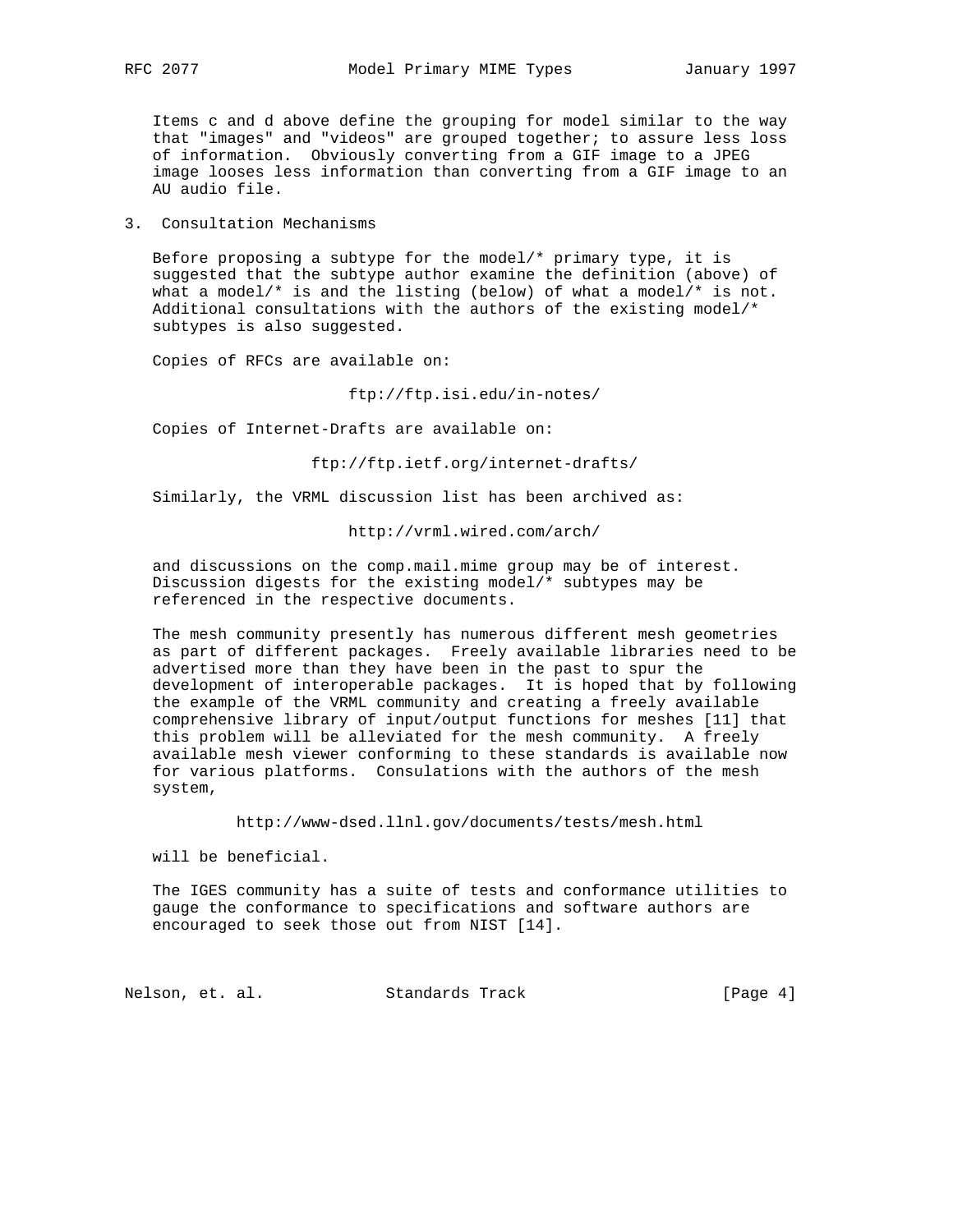Items c and d above define the grouping for model similar to the way that "images" and "videos" are grouped together; to assure less loss of information. Obviously converting from a GIF image to a JPEG image looses less information than converting from a GIF image to an AU audio file.

3. Consultation Mechanisms

Before proposing a subtype for the model/\* primary type, it is suggested that the subtype author examine the definition (above) of what a model/\* is and the listing (below) of what a model/\* is not. Additional consultations with the authors of the existing model/\* subtypes is also suggested.

Copies of RFCs are available on:

ftp://ftp.isi.edu/in-notes/

Copies of Internet-Drafts are available on:

ftp://ftp.ietf.org/internet-drafts/

Similarly, the VRML discussion list has been archived as:

http://vrml.wired.com/arch/

 and discussions on the comp.mail.mime group may be of interest. Discussion digests for the existing model/\* subtypes may be referenced in the respective documents.

 The mesh community presently has numerous different mesh geometries as part of different packages. Freely available libraries need to be advertised more than they have been in the past to spur the development of interoperable packages. It is hoped that by following the example of the VRML community and creating a freely available comprehensive library of input/output functions for meshes [11] that this problem will be alleviated for the mesh community. A freely available mesh viewer conforming to these standards is available now for various platforms. Consulations with the authors of the mesh system,

http://www-dsed.llnl.gov/documents/tests/mesh.html

will be beneficial.

 The IGES community has a suite of tests and conformance utilities to gauge the conformance to specifications and software authors are encouraged to seek those out from NIST [14].

Nelson, et. al. Standards Track [Page 4]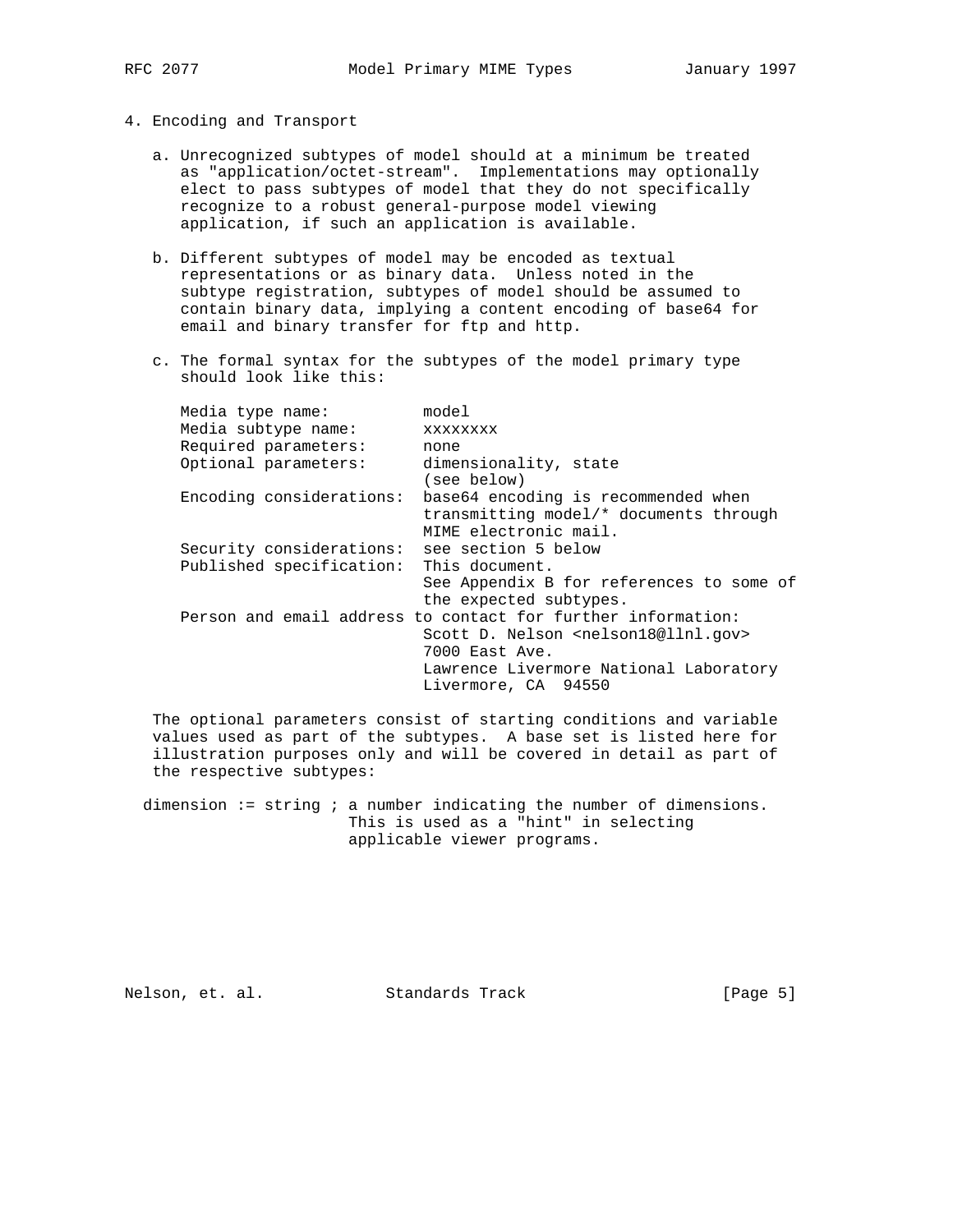- 4. Encoding and Transport
	- a. Unrecognized subtypes of model should at a minimum be treated as "application/octet-stream". Implementations may optionally elect to pass subtypes of model that they do not specifically recognize to a robust general-purpose model viewing application, if such an application is available.
	- b. Different subtypes of model may be encoded as textual representations or as binary data. Unless noted in the subtype registration, subtypes of model should be assumed to contain binary data, implying a content encoding of base64 for email and binary transfer for ftp and http.
	- c. The formal syntax for the subtypes of the model primary type should look like this:

| Media type name:         | model                                                                                                                                                                                                         |
|--------------------------|---------------------------------------------------------------------------------------------------------------------------------------------------------------------------------------------------------------|
| Media subtype name:      | <b>XXXXXXXX</b>                                                                                                                                                                                               |
| Required parameters:     | none                                                                                                                                                                                                          |
| Optional parameters:     | dimensionality, state<br>(see below)                                                                                                                                                                          |
| Encoding considerations: | base64 encoding is recommended when<br>transmitting model/* documents through<br>MIME electronic mail.                                                                                                        |
| Security considerations: | see section 5 below                                                                                                                                                                                           |
| Published specification: | This document.<br>See Appendix B for references to some of<br>the expected subtypes.                                                                                                                          |
|                          | Person and email address to contact for further information:<br>Scott D. Nelson <nelson18@llnl.gov><br/>7000 East Ave.<br/>Lawrence Livermore National Laboratory<br/>Livermore, CA 94550</nelson18@llnl.gov> |

 The optional parameters consist of starting conditions and variable values used as part of the subtypes. A base set is listed here for illustration purposes only and will be covered in detail as part of the respective subtypes:

dimension := string ; a number indicating the number of dimensions. This is used as a "hint" in selecting applicable viewer programs.

Nelson, et. al. Standards Track [Page 5]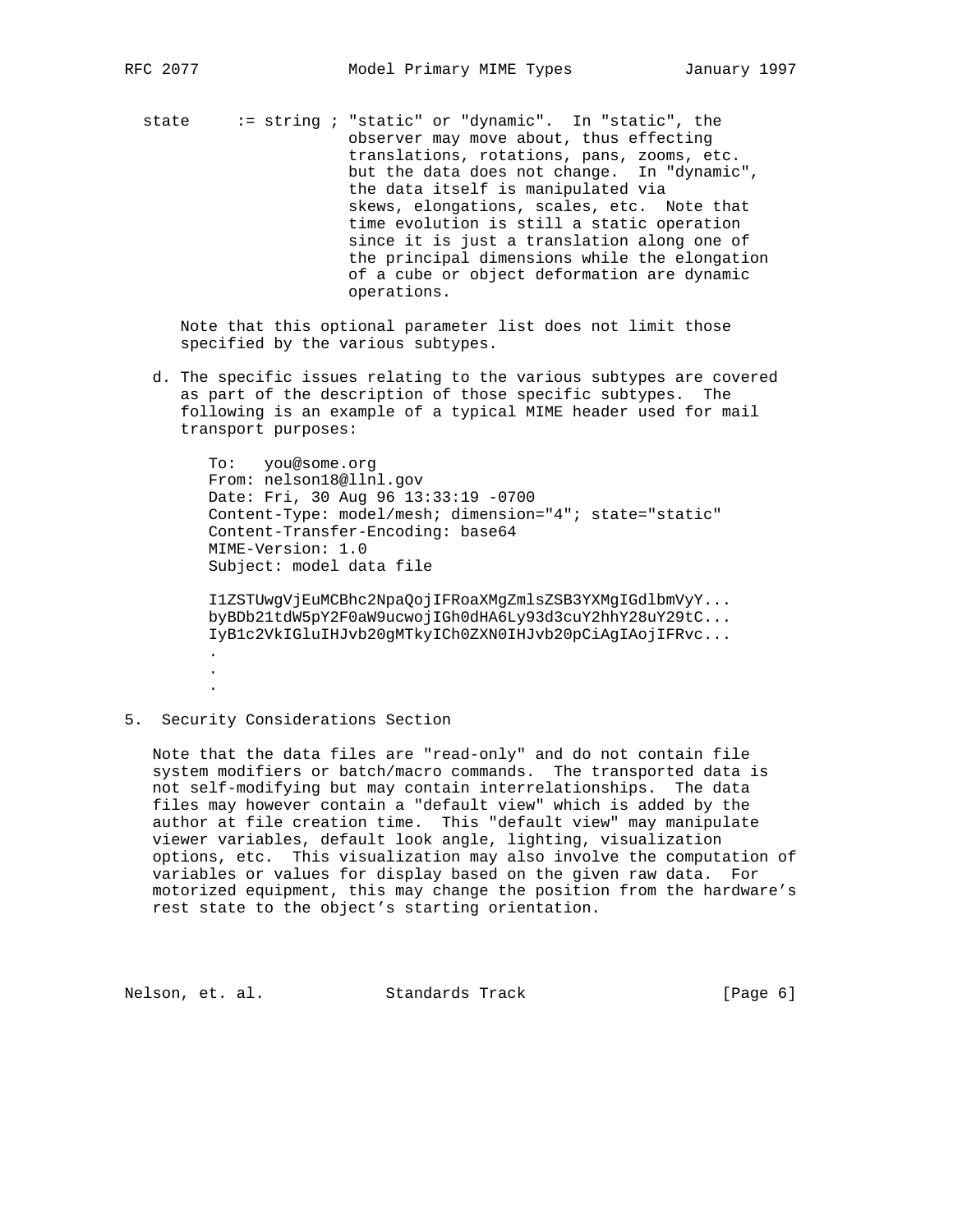state := string ; "static" or "dynamic". In "static", the observer may move about, thus effecting translations, rotations, pans, zooms, etc. but the data does not change. In "dynamic", the data itself is manipulated via skews, elongations, scales, etc. Note that time evolution is still a static operation since it is just a translation along one of the principal dimensions while the elongation of a cube or object deformation are dynamic operations.

 Note that this optional parameter list does not limit those specified by the various subtypes.

 d. The specific issues relating to the various subtypes are covered as part of the description of those specific subtypes. The following is an example of a typical MIME header used for mail transport purposes:

 To: you@some.org From: nelson18@llnl.gov Date: Fri, 30 Aug 96 13:33:19 -0700 Content-Type: model/mesh; dimension="4"; state="static" Content-Transfer-Encoding: base64 MIME-Version: 1.0 Subject: model data file

 I1ZSTUwgVjEuMCBhc2NpaQojIFRoaXMgZmlsZSB3YXMgIGdlbmVyY... byBDb21tdW5pY2F0aW9ucwojIGh0dHA6Ly93d3cuY2hhY28uY29tC... IyB1c2VkIGluIHJvb20gMTkyICh0ZXN0IHJvb20pCiAgIAojIFRvc... . .

5. Security Considerations Section

.

 Note that the data files are "read-only" and do not contain file system modifiers or batch/macro commands. The transported data is not self-modifying but may contain interrelationships. The data files may however contain a "default view" which is added by the author at file creation time. This "default view" may manipulate viewer variables, default look angle, lighting, visualization options, etc. This visualization may also involve the computation of variables or values for display based on the given raw data. For motorized equipment, this may change the position from the hardware's rest state to the object's starting orientation.

Nelson, et. al. Standards Track [Page 6]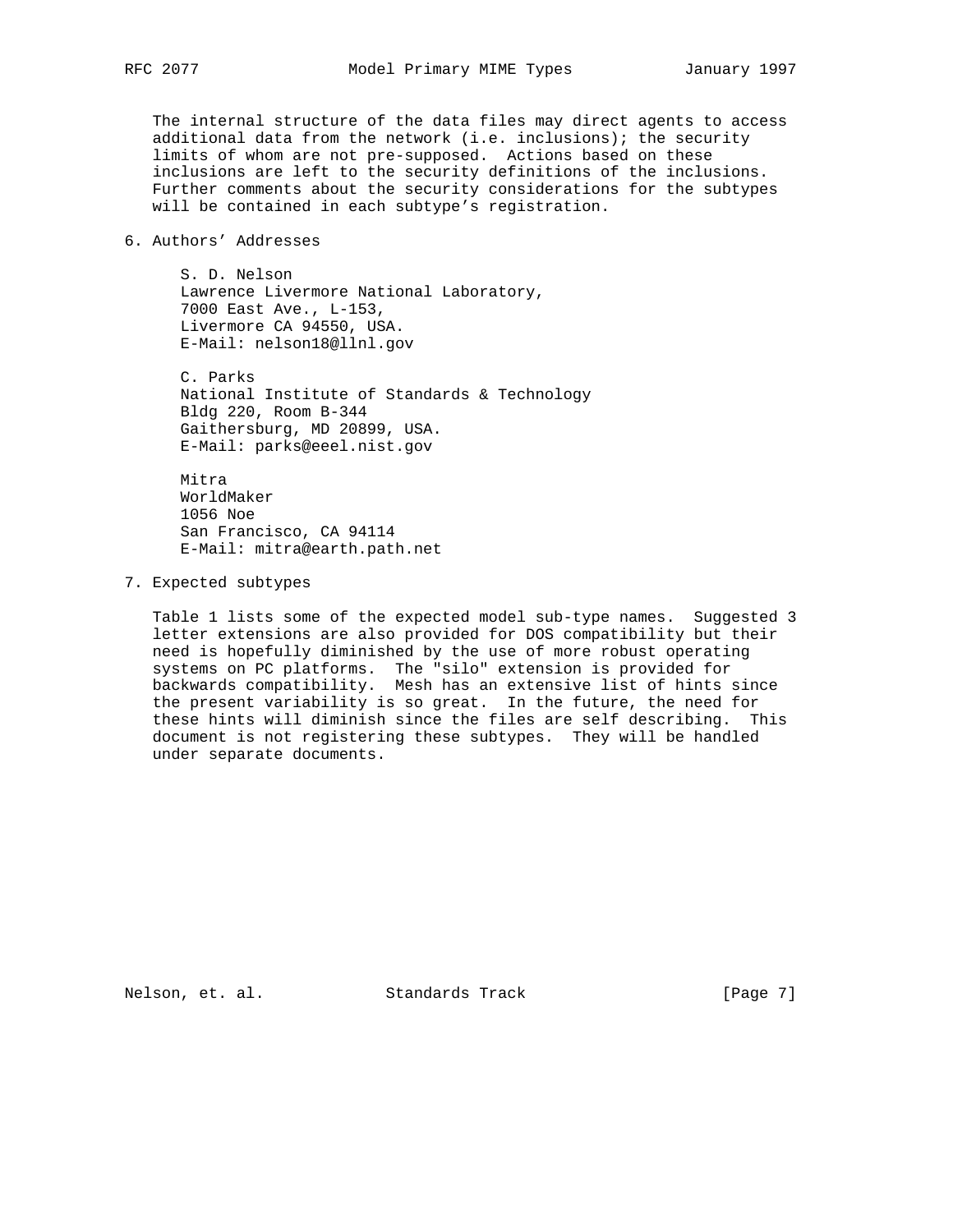The internal structure of the data files may direct agents to access additional data from the network (i.e. inclusions); the security limits of whom are not pre-supposed. Actions based on these inclusions are left to the security definitions of the inclusions. Further comments about the security considerations for the subtypes will be contained in each subtype's registration.

# 6. Authors' Addresses

 S. D. Nelson Lawrence Livermore National Laboratory, 7000 East Ave., L-153, Livermore CA 94550, USA. E-Mail: nelson18@llnl.gov

 C. Parks National Institute of Standards & Technology Bldg 220, Room B-344 Gaithersburg, MD 20899, USA. E-Mail: parks@eeel.nist.gov

 Mitra WorldMaker 1056 Noe San Francisco, CA 94114 E-Mail: mitra@earth.path.net

7. Expected subtypes

 Table 1 lists some of the expected model sub-type names. Suggested 3 letter extensions are also provided for DOS compatibility but their need is hopefully diminished by the use of more robust operating systems on PC platforms. The "silo" extension is provided for backwards compatibility. Mesh has an extensive list of hints since the present variability is so great. In the future, the need for these hints will diminish since the files are self describing. This document is not registering these subtypes. They will be handled under separate documents.

Nelson, et. al. Standards Track [Page 7]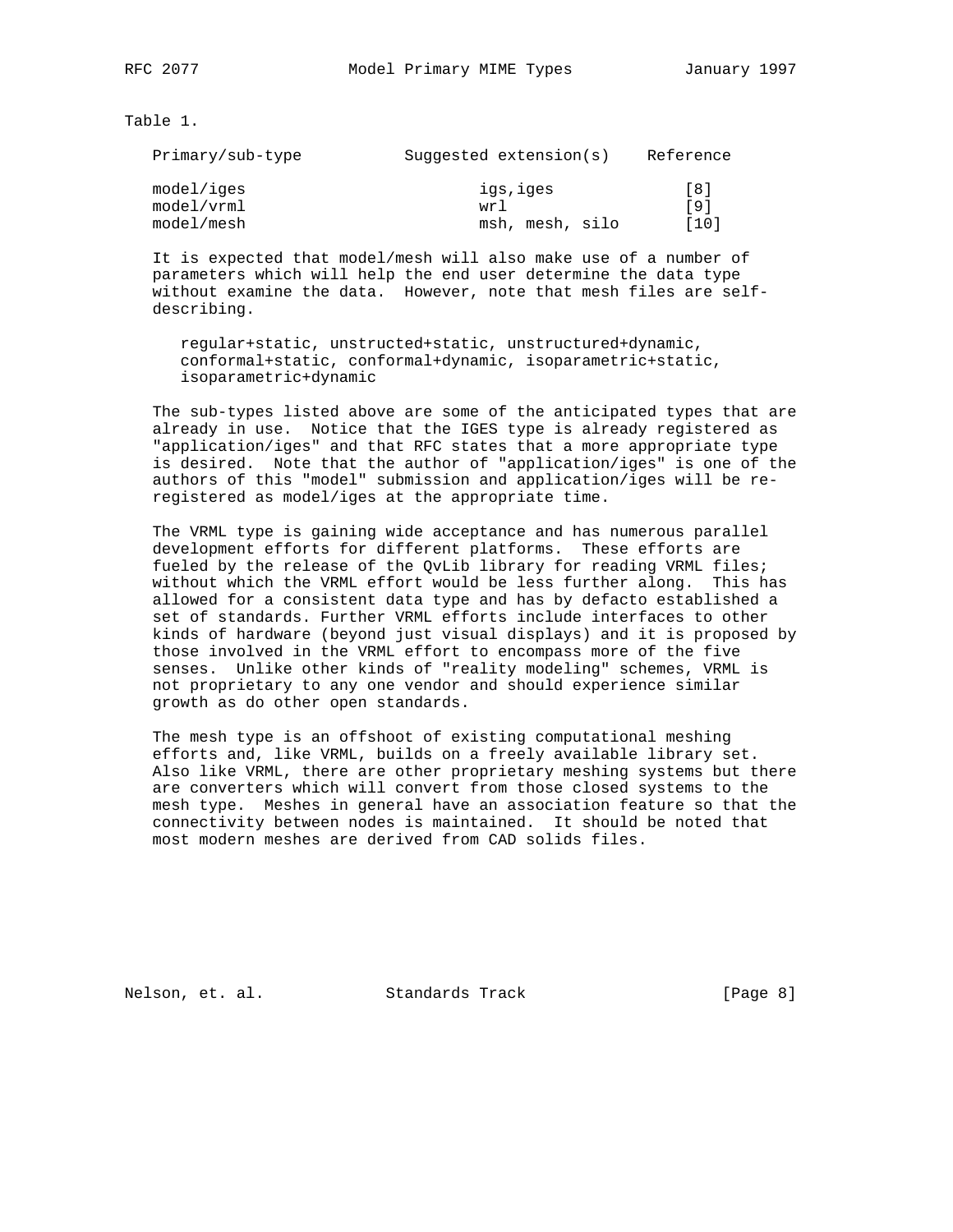Table 1.

| Primary/sub-type | Suggested extension $(s)$ | Reference |
|------------------|---------------------------|-----------|
| model/iges       | igs, iges                 | [8]       |
| model/vrml       | wr 1                      | [9]       |
| model/mesh       | msh, mesh, silo           | [10]      |

 It is expected that model/mesh will also make use of a number of parameters which will help the end user determine the data type without examine the data. However, note that mesh files are self describing.

 regular+static, unstructed+static, unstructured+dynamic, conformal+static, conformal+dynamic, isoparametric+static, isoparametric+dynamic

 The sub-types listed above are some of the anticipated types that are already in use. Notice that the IGES type is already registered as "application/iges" and that RFC states that a more appropriate type is desired. Note that the author of "application/iges" is one of the authors of this "model" submission and application/iges will be re registered as model/iges at the appropriate time.

 The VRML type is gaining wide acceptance and has numerous parallel development efforts for different platforms. These efforts are fueled by the release of the QvLib library for reading VRML files; without which the VRML effort would be less further along. This has allowed for a consistent data type and has by defacto established a set of standards. Further VRML efforts include interfaces to other kinds of hardware (beyond just visual displays) and it is proposed by those involved in the VRML effort to encompass more of the five senses. Unlike other kinds of "reality modeling" schemes, VRML is not proprietary to any one vendor and should experience similar growth as do other open standards.

 The mesh type is an offshoot of existing computational meshing efforts and, like VRML, builds on a freely available library set. Also like VRML, there are other proprietary meshing systems but there are converters which will convert from those closed systems to the mesh type. Meshes in general have an association feature so that the connectivity between nodes is maintained. It should be noted that most modern meshes are derived from CAD solids files.

Nelson, et. al. Standards Track [Page 8]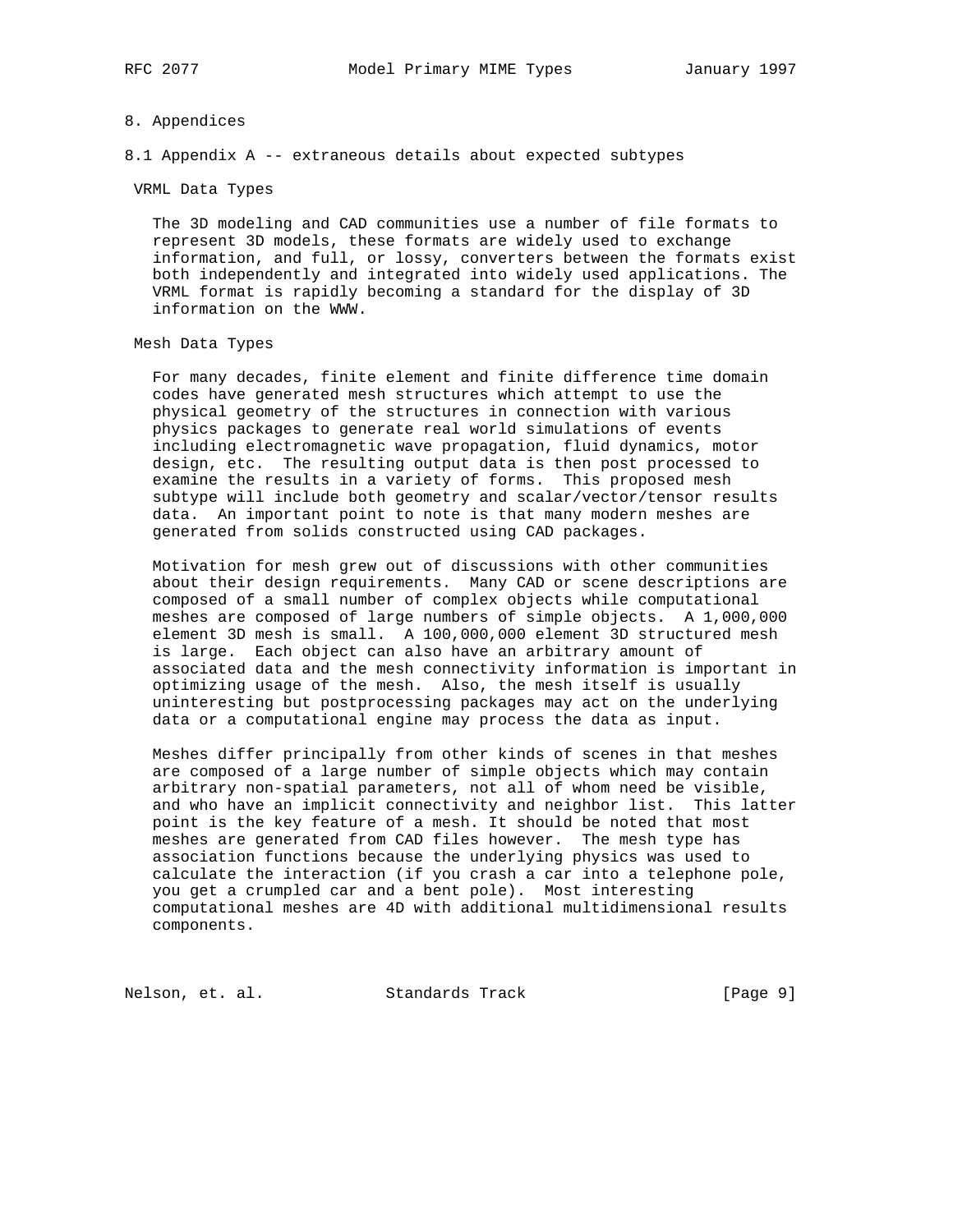### 8. Appendices

8.1 Appendix A -- extraneous details about expected subtypes

VRML Data Types

 The 3D modeling and CAD communities use a number of file formats to represent 3D models, these formats are widely used to exchange information, and full, or lossy, converters between the formats exist both independently and integrated into widely used applications. The VRML format is rapidly becoming a standard for the display of 3D information on the WWW.

#### Mesh Data Types

 For many decades, finite element and finite difference time domain codes have generated mesh structures which attempt to use the physical geometry of the structures in connection with various physics packages to generate real world simulations of events including electromagnetic wave propagation, fluid dynamics, motor design, etc. The resulting output data is then post processed to examine the results in a variety of forms. This proposed mesh subtype will include both geometry and scalar/vector/tensor results data. An important point to note is that many modern meshes are generated from solids constructed using CAD packages.

 Motivation for mesh grew out of discussions with other communities about their design requirements. Many CAD or scene descriptions are composed of a small number of complex objects while computational meshes are composed of large numbers of simple objects. A 1,000,000 element 3D mesh is small. A 100,000,000 element 3D structured mesh is large. Each object can also have an arbitrary amount of associated data and the mesh connectivity information is important in optimizing usage of the mesh. Also, the mesh itself is usually uninteresting but postprocessing packages may act on the underlying data or a computational engine may process the data as input.

 Meshes differ principally from other kinds of scenes in that meshes are composed of a large number of simple objects which may contain arbitrary non-spatial parameters, not all of whom need be visible, and who have an implicit connectivity and neighbor list. This latter point is the key feature of a mesh. It should be noted that most meshes are generated from CAD files however. The mesh type has association functions because the underlying physics was used to calculate the interaction (if you crash a car into a telephone pole, you get a crumpled car and a bent pole). Most interesting computational meshes are 4D with additional multidimensional results components.

Nelson, et. al. Standards Track [Page 9]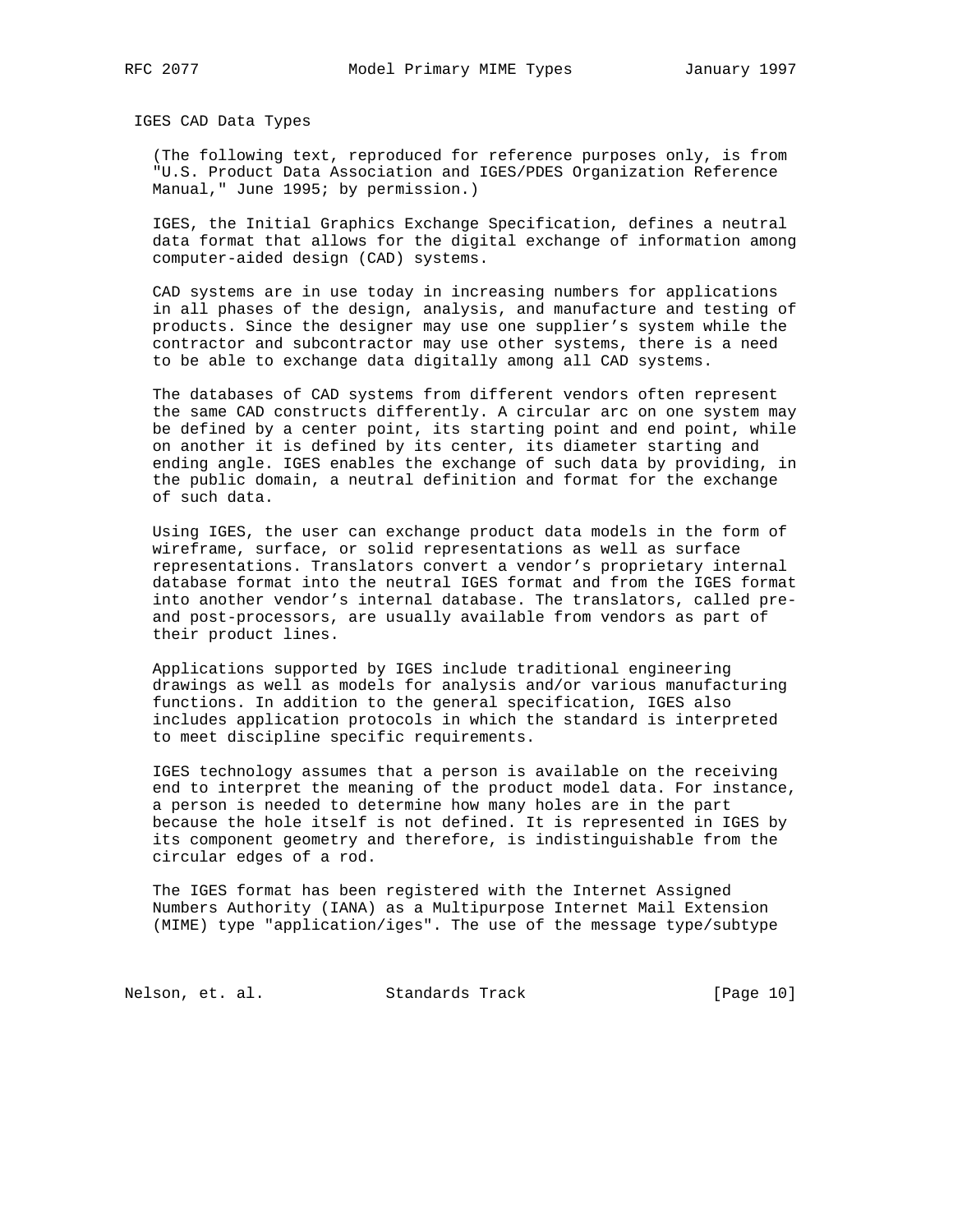IGES CAD Data Types

 (The following text, reproduced for reference purposes only, is from "U.S. Product Data Association and IGES/PDES Organization Reference Manual," June 1995; by permission.)

 IGES, the Initial Graphics Exchange Specification, defines a neutral data format that allows for the digital exchange of information among computer-aided design (CAD) systems.

 CAD systems are in use today in increasing numbers for applications in all phases of the design, analysis, and manufacture and testing of products. Since the designer may use one supplier's system while the contractor and subcontractor may use other systems, there is a need to be able to exchange data digitally among all CAD systems.

 The databases of CAD systems from different vendors often represent the same CAD constructs differently. A circular arc on one system may be defined by a center point, its starting point and end point, while on another it is defined by its center, its diameter starting and ending angle. IGES enables the exchange of such data by providing, in the public domain, a neutral definition and format for the exchange of such data.

 Using IGES, the user can exchange product data models in the form of wireframe, surface, or solid representations as well as surface representations. Translators convert a vendor's proprietary internal database format into the neutral IGES format and from the IGES format into another vendor's internal database. The translators, called pre and post-processors, are usually available from vendors as part of their product lines.

 Applications supported by IGES include traditional engineering drawings as well as models for analysis and/or various manufacturing functions. In addition to the general specification, IGES also includes application protocols in which the standard is interpreted to meet discipline specific requirements.

 IGES technology assumes that a person is available on the receiving end to interpret the meaning of the product model data. For instance, a person is needed to determine how many holes are in the part because the hole itself is not defined. It is represented in IGES by its component geometry and therefore, is indistinguishable from the circular edges of a rod.

 The IGES format has been registered with the Internet Assigned Numbers Authority (IANA) as a Multipurpose Internet Mail Extension (MIME) type "application/iges". The use of the message type/subtype

Nelson, et. al. Standards Track [Page 10]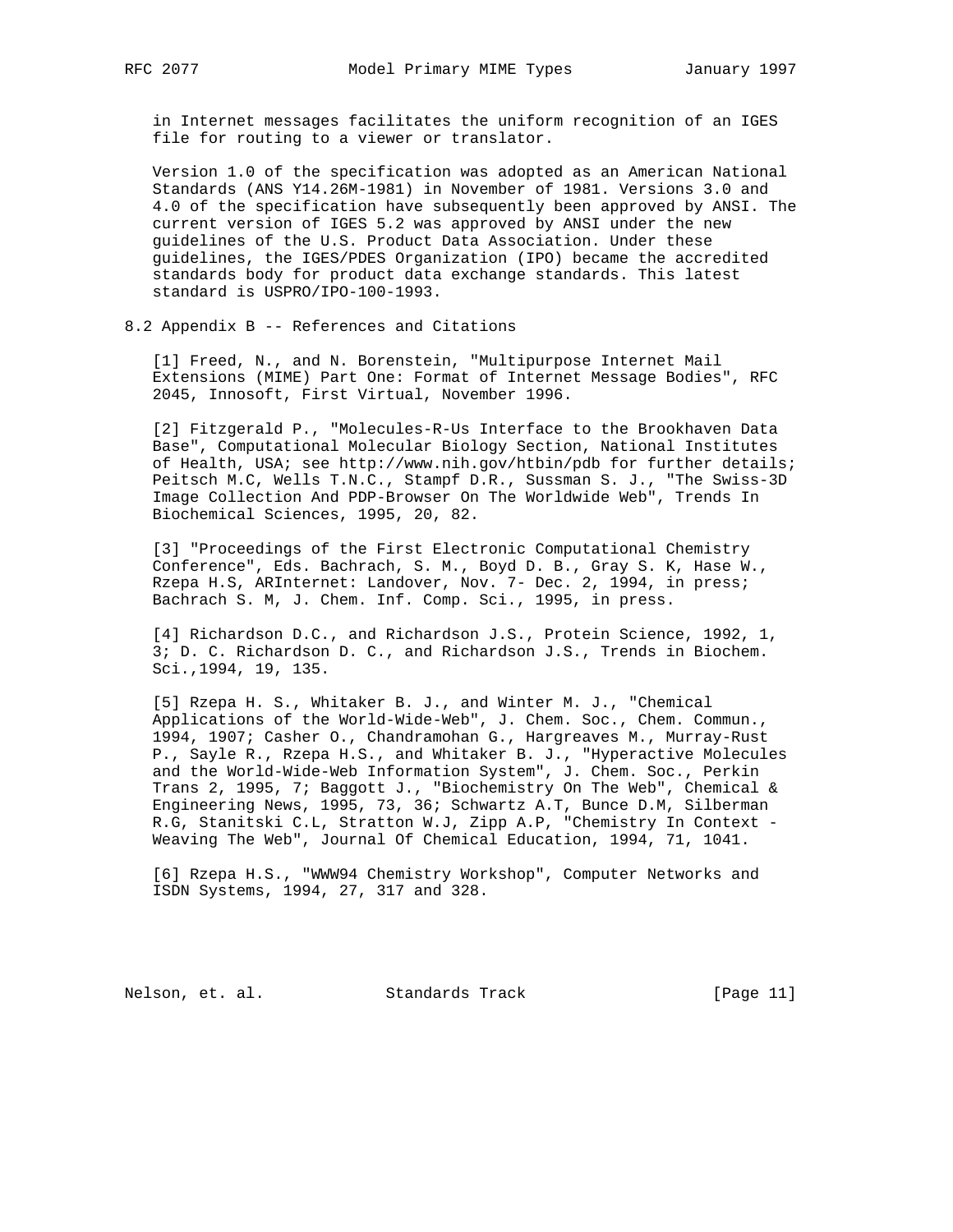in Internet messages facilitates the uniform recognition of an IGES file for routing to a viewer or translator.

 Version 1.0 of the specification was adopted as an American National Standards (ANS Y14.26M-1981) in November of 1981. Versions 3.0 and 4.0 of the specification have subsequently been approved by ANSI. The current version of IGES 5.2 was approved by ANSI under the new guidelines of the U.S. Product Data Association. Under these guidelines, the IGES/PDES Organization (IPO) became the accredited standards body for product data exchange standards. This latest standard is USPRO/IPO-100-1993.

8.2 Appendix B -- References and Citations

 [1] Freed, N., and N. Borenstein, "Multipurpose Internet Mail Extensions (MIME) Part One: Format of Internet Message Bodies", RFC 2045, Innosoft, First Virtual, November 1996.

 [2] Fitzgerald P., "Molecules-R-Us Interface to the Brookhaven Data Base", Computational Molecular Biology Section, National Institutes of Health, USA; see http://www.nih.gov/htbin/pdb for further details; Peitsch M.C, Wells T.N.C., Stampf D.R., Sussman S. J., "The Swiss-3D Image Collection And PDP-Browser On The Worldwide Web", Trends In Biochemical Sciences, 1995, 20, 82.

 [3] "Proceedings of the First Electronic Computational Chemistry Conference", Eds. Bachrach, S. M., Boyd D. B., Gray S. K, Hase W., Rzepa H.S, ARInternet: Landover, Nov. 7- Dec. 2, 1994, in press; Bachrach S. M, J. Chem. Inf. Comp. Sci., 1995, in press.

 [4] Richardson D.C., and Richardson J.S., Protein Science, 1992, 1, 3; D. C. Richardson D. C., and Richardson J.S., Trends in Biochem. Sci.,1994, 19, 135.

 [5] Rzepa H. S., Whitaker B. J., and Winter M. J., "Chemical Applications of the World-Wide-Web", J. Chem. Soc., Chem. Commun., 1994, 1907; Casher O., Chandramohan G., Hargreaves M., Murray-Rust P., Sayle R., Rzepa H.S., and Whitaker B. J., "Hyperactive Molecules and the World-Wide-Web Information System", J. Chem. Soc., Perkin Trans 2, 1995, 7; Baggott J., "Biochemistry On The Web", Chemical & Engineering News, 1995, 73, 36; Schwartz A.T, Bunce D.M, Silberman R.G, Stanitski C.L, Stratton W.J, Zipp A.P, "Chemistry In Context - Weaving The Web", Journal Of Chemical Education, 1994, 71, 1041.

 [6] Rzepa H.S., "WWW94 Chemistry Workshop", Computer Networks and ISDN Systems, 1994, 27, 317 and 328.

Nelson, et. al. Standards Track [Page 11]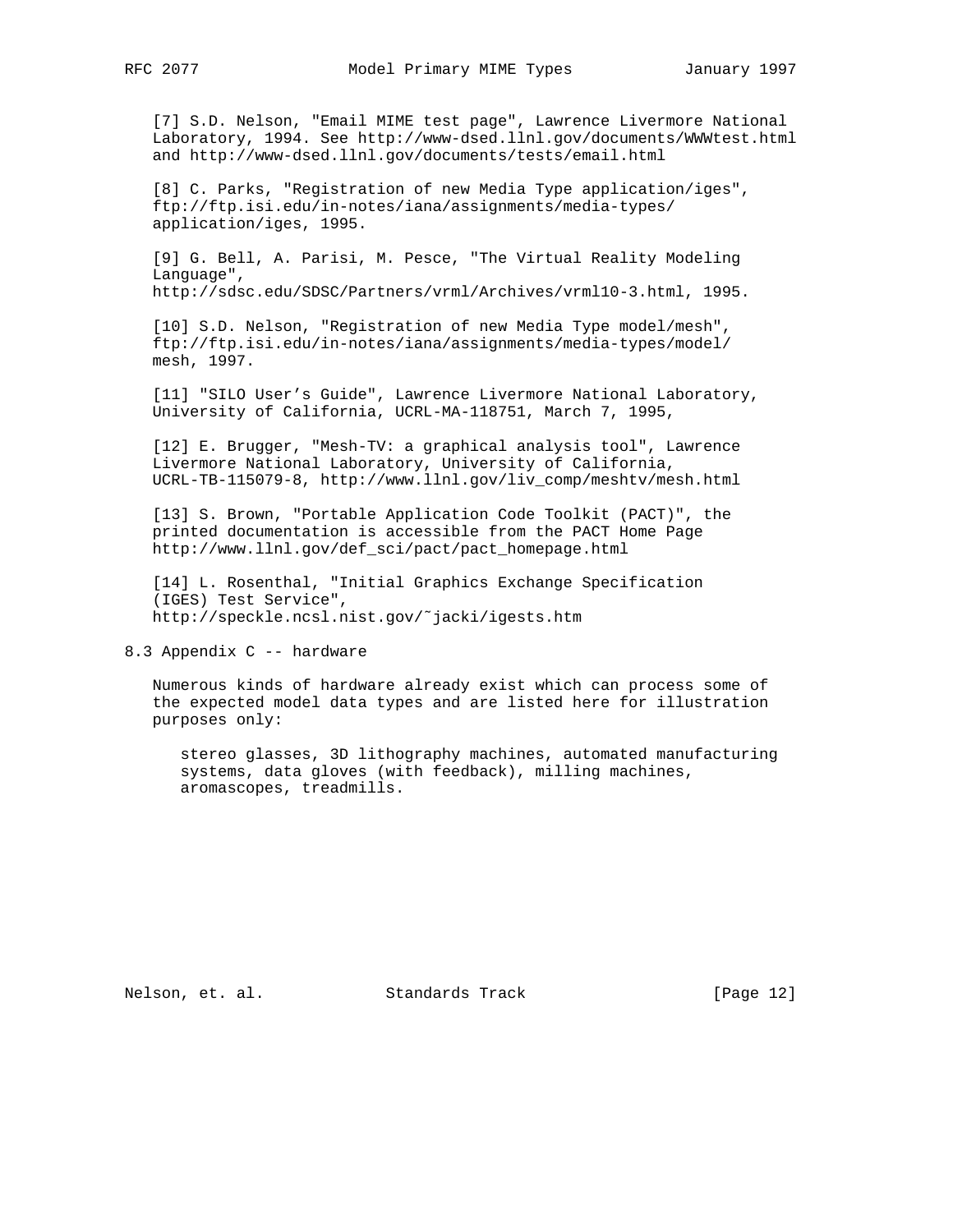[7] S.D. Nelson, "Email MIME test page", Lawrence Livermore National Laboratory, 1994. See http://www-dsed.llnl.gov/documents/WWWtest.html and http://www-dsed.llnl.gov/documents/tests/email.html

 [8] C. Parks, "Registration of new Media Type application/iges", ftp://ftp.isi.edu/in-notes/iana/assignments/media-types/ application/iges, 1995.

 [9] G. Bell, A. Parisi, M. Pesce, "The Virtual Reality Modeling Language", http://sdsc.edu/SDSC/Partners/vrml/Archives/vrml10-3.html, 1995.

 [10] S.D. Nelson, "Registration of new Media Type model/mesh", ftp://ftp.isi.edu/in-notes/iana/assignments/media-types/model/ mesh, 1997.

 [11] "SILO User's Guide", Lawrence Livermore National Laboratory, University of California, UCRL-MA-118751, March 7, 1995,

 [12] E. Brugger, "Mesh-TV: a graphical analysis tool", Lawrence Livermore National Laboratory, University of California, UCRL-TB-115079-8, http://www.llnl.gov/liv\_comp/meshtv/mesh.html

 [13] S. Brown, "Portable Application Code Toolkit (PACT)", the printed documentation is accessible from the PACT Home Page http://www.llnl.gov/def\_sci/pact/pact\_homepage.html

 [14] L. Rosenthal, "Initial Graphics Exchange Specification (IGES) Test Service", http://speckle.ncsl.nist.gov/˜jacki/igests.htm

8.3 Appendix C -- hardware

 Numerous kinds of hardware already exist which can process some of the expected model data types and are listed here for illustration purposes only:

 stereo glasses, 3D lithography machines, automated manufacturing systems, data gloves (with feedback), milling machines, aromascopes, treadmills.

Nelson, et. al. Standards Track [Page 12]